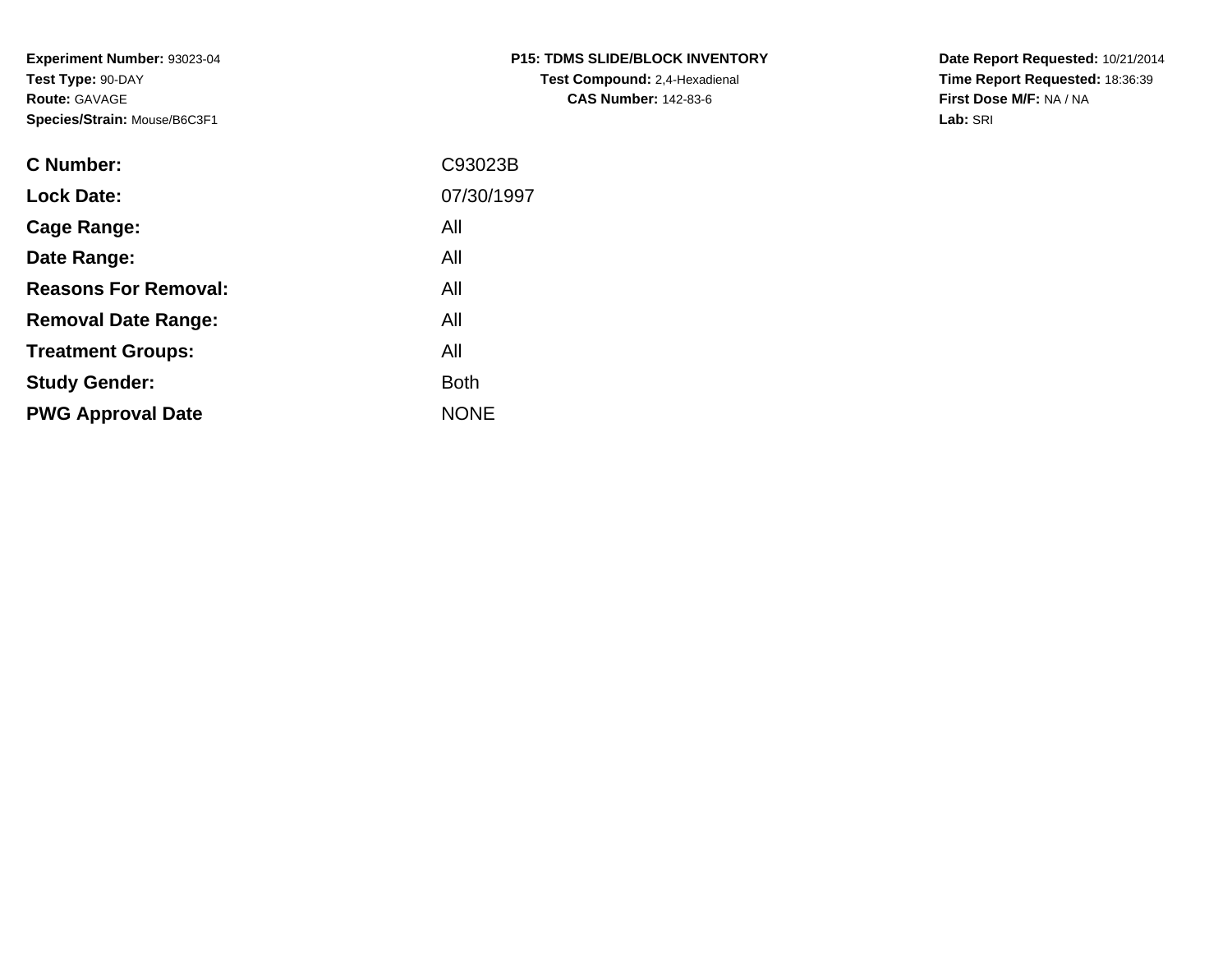**Experiment Number:** 93023-04**Test Type:** 90-DAY**Route:** GAVAGE**Species/Strain:** Mouse/B6C3F1

| <b>P15: TDMS SLIDE/BLOCK INVENTORY</b> |
|----------------------------------------|
| <b>Test Compound:</b> 2,4-Hexadienal   |
| <b>CAS Number: 142-83-6</b>            |

**Date Report Requested:** 10/21/2014 **Time Report Requested:** 18:36:39**First Dose M/F:** NA / NA**Lab:** SRI

| C Number:                   | C93023B     |
|-----------------------------|-------------|
| <b>Lock Date:</b>           | 07/30/1997  |
| Cage Range:                 | All         |
| Date Range:                 | All         |
| <b>Reasons For Removal:</b> | All         |
| <b>Removal Date Range:</b>  | All         |
| <b>Treatment Groups:</b>    | All         |
| <b>Study Gender:</b>        | <b>Both</b> |
| <b>PWG Approval Date</b>    | <b>NONE</b> |
|                             |             |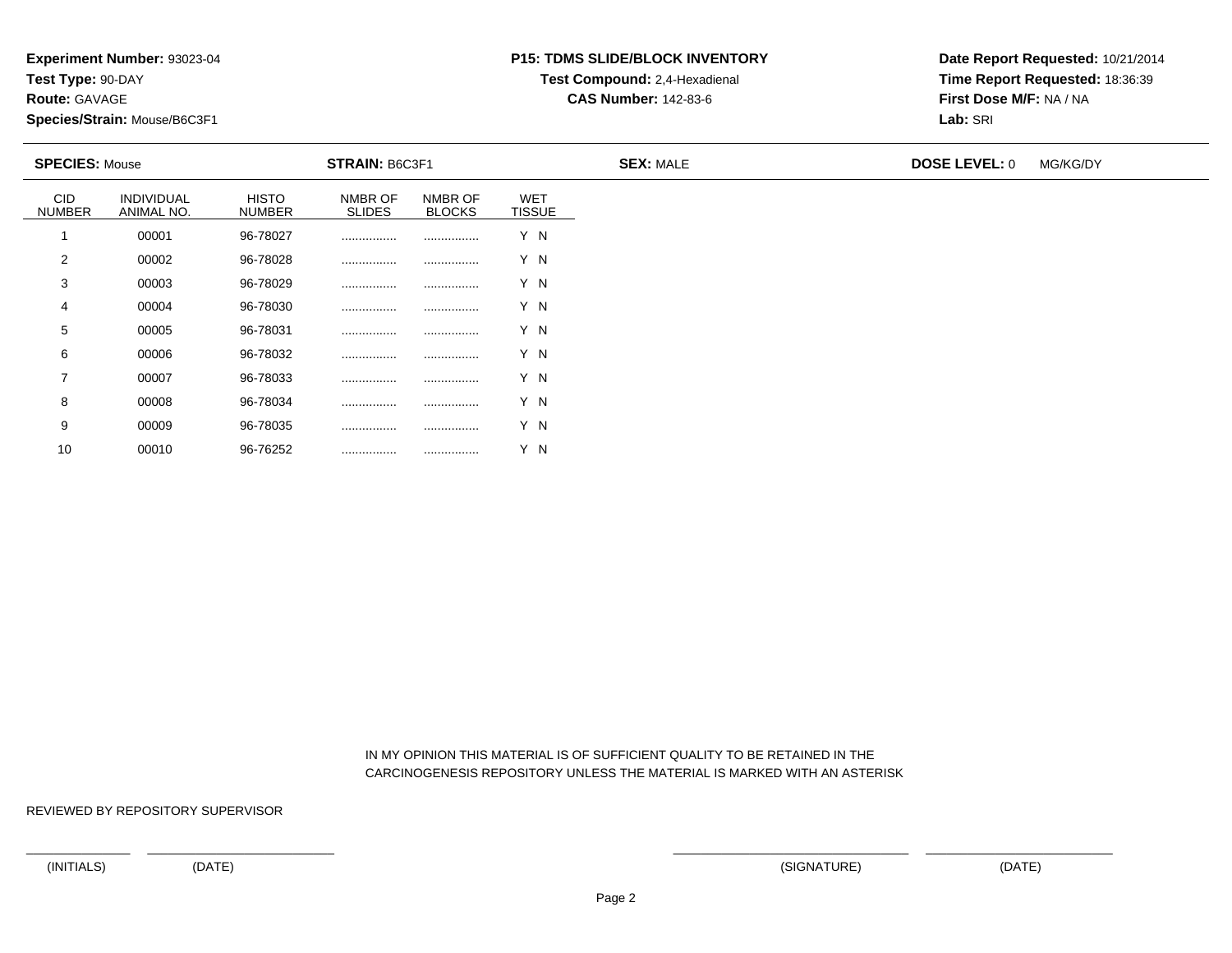**Route:** GAVAGE

10

**Species/Strain:** Mouse/B6C3F1

# **P15: TDMS SLIDE/BLOCK INVENTORYTest Compound:** 2,4-Hexadienal

**CAS Number:** 142-83-6

**Date Report Requested:** 10/21/2014**Time Report Requested:** 18:36:39**First Dose M/F:** NA / NA**Lab:** SRI

| <b>SPECIES: Mouse</b><br><b>STRAIN: B6C3F1</b> |                          |                               | <b>SEX: MALE</b>         | <b>DOSE LEVEL: 0</b>     | MG/KG/DY                    |  |  |  |
|------------------------------------------------|--------------------------|-------------------------------|--------------------------|--------------------------|-----------------------------|--|--|--|
| <b>CID</b><br><b>NUMBER</b>                    | INDIVIDUAL<br>ANIMAL NO. | <b>HISTO</b><br><b>NUMBER</b> | NMBR OF<br><b>SLIDES</b> | NMBR OF<br><b>BLOCKS</b> | <b>WET</b><br><b>TISSUE</b> |  |  |  |
|                                                | 00001                    | 96-78027                      |                          |                          | Y N                         |  |  |  |
| 2                                              | 00002                    | 96-78028                      |                          |                          | Y N                         |  |  |  |
| 3                                              | 00003                    | 96-78029                      | .                        |                          | Y N                         |  |  |  |
| 4                                              | 00004                    | 96-78030                      |                          |                          | Y N                         |  |  |  |
| 5                                              | 00005                    | 96-78031                      |                          |                          | Y N                         |  |  |  |
| 6                                              | 00006                    | 96-78032                      |                          |                          | Y N                         |  |  |  |
| $\overline{7}$                                 | 00007                    | 96-78033                      |                          |                          | Y N                         |  |  |  |
| 8                                              | 00008                    | 96-78034                      |                          |                          | Y N                         |  |  |  |
| 9                                              | 00009                    | 96-78035                      |                          |                          | Y N                         |  |  |  |

 IN MY OPINION THIS MATERIAL IS OF SUFFICIENT QUALITY TO BE RETAINED IN THECARCINOGENESIS REPOSITORY UNLESS THE MATERIAL IS MARKED WITH AN ASTERISK

REVIEWED BY REPOSITORY SUPERVISOR

<sup>00010</sup> 96-76252 ................ ................ Y N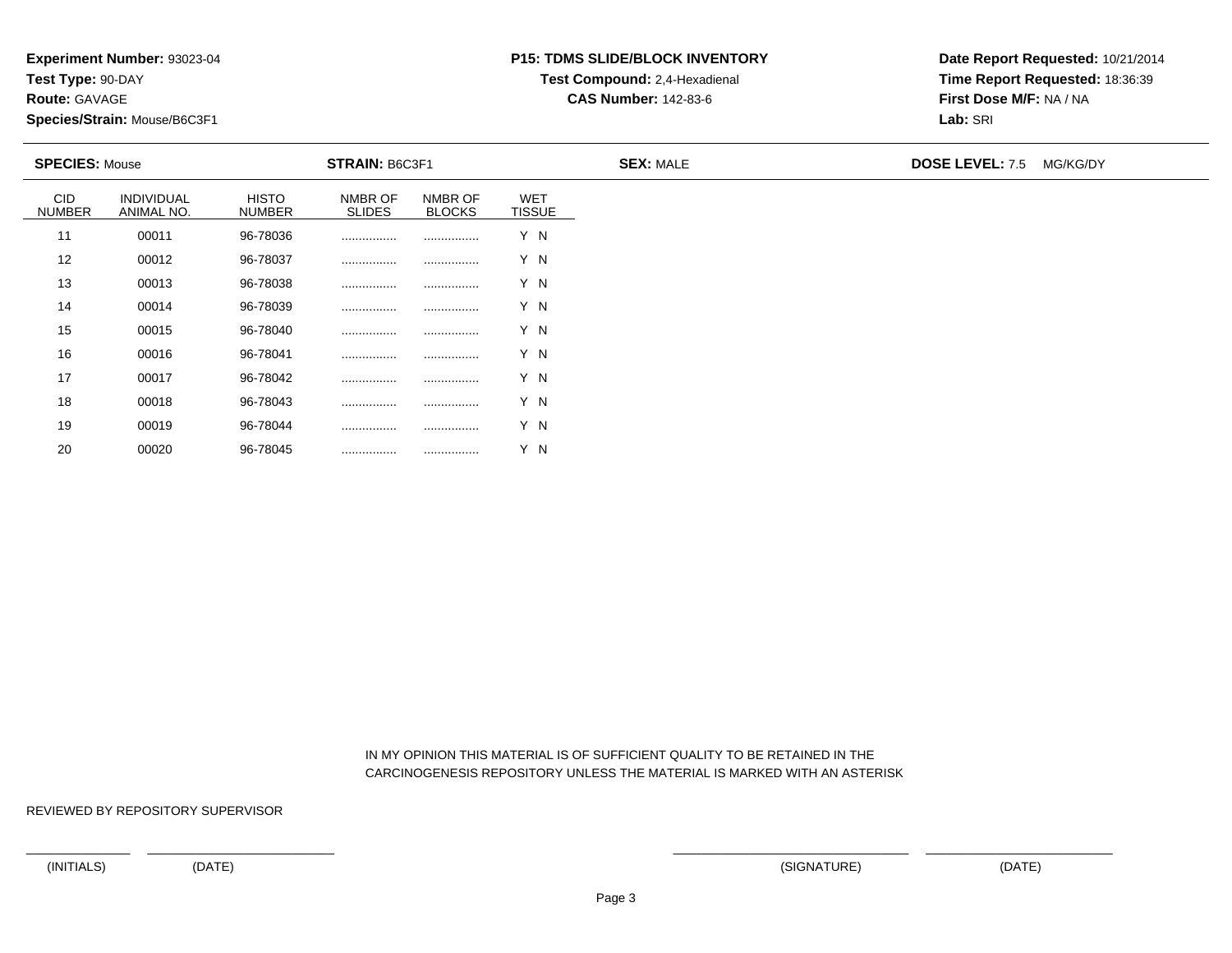**Route:** GAVAGE

20

**Species/Strain:** Mouse/B6C3F1

# **P15: TDMS SLIDE/BLOCK INVENTORYTest Compound:** 2,4-Hexadienal

**CAS Number:** 142-83-6

**Date Report Requested:** 10/21/2014**Time Report Requested:** 18:36:39**First Dose M/F:** NA / NA**Lab:** SRI

| <b>SPECIES: Mouse</b> |                          |                               | <b>STRAIN: B6C3F1</b>    |                          |                             | <b>SEX: MALE</b> | <b>DOSE LEVEL: 7.5</b><br>MG/KG/DY |  |  |
|-----------------------|--------------------------|-------------------------------|--------------------------|--------------------------|-----------------------------|------------------|------------------------------------|--|--|
| CID<br><b>NUMBER</b>  | INDIVIDUAL<br>ANIMAL NO. | <b>HISTO</b><br><b>NUMBER</b> | NMBR OF<br><b>SLIDES</b> | NMBR OF<br><b>BLOCKS</b> | <b>WET</b><br><b>TISSUE</b> |                  |                                    |  |  |
| 11                    | 00011                    | 96-78036                      |                          |                          | Y N                         |                  |                                    |  |  |
| 12                    | 00012                    | 96-78037                      |                          |                          | Y N                         |                  |                                    |  |  |
| 13                    | 00013                    | 96-78038                      |                          |                          | Y N                         |                  |                                    |  |  |
| 14                    | 00014                    | 96-78039                      |                          |                          | Y N                         |                  |                                    |  |  |
| 15                    | 00015                    | 96-78040                      |                          |                          | Y N                         |                  |                                    |  |  |
| 16                    | 00016                    | 96-78041                      |                          |                          | Y N                         |                  |                                    |  |  |
| 17                    | 00017                    | 96-78042                      |                          |                          | Y N                         |                  |                                    |  |  |
| 18                    | 00018                    | 96-78043                      |                          |                          | Y N                         |                  |                                    |  |  |
| 19                    | 00019                    | 96-78044                      | .                        |                          | Y N                         |                  |                                    |  |  |

 IN MY OPINION THIS MATERIAL IS OF SUFFICIENT QUALITY TO BE RETAINED IN THECARCINOGENESIS REPOSITORY UNLESS THE MATERIAL IS MARKED WITH AN ASTERISK

REVIEWED BY REPOSITORY SUPERVISOR

<sup>00020</sup> 96-78045 ................ ................ Y N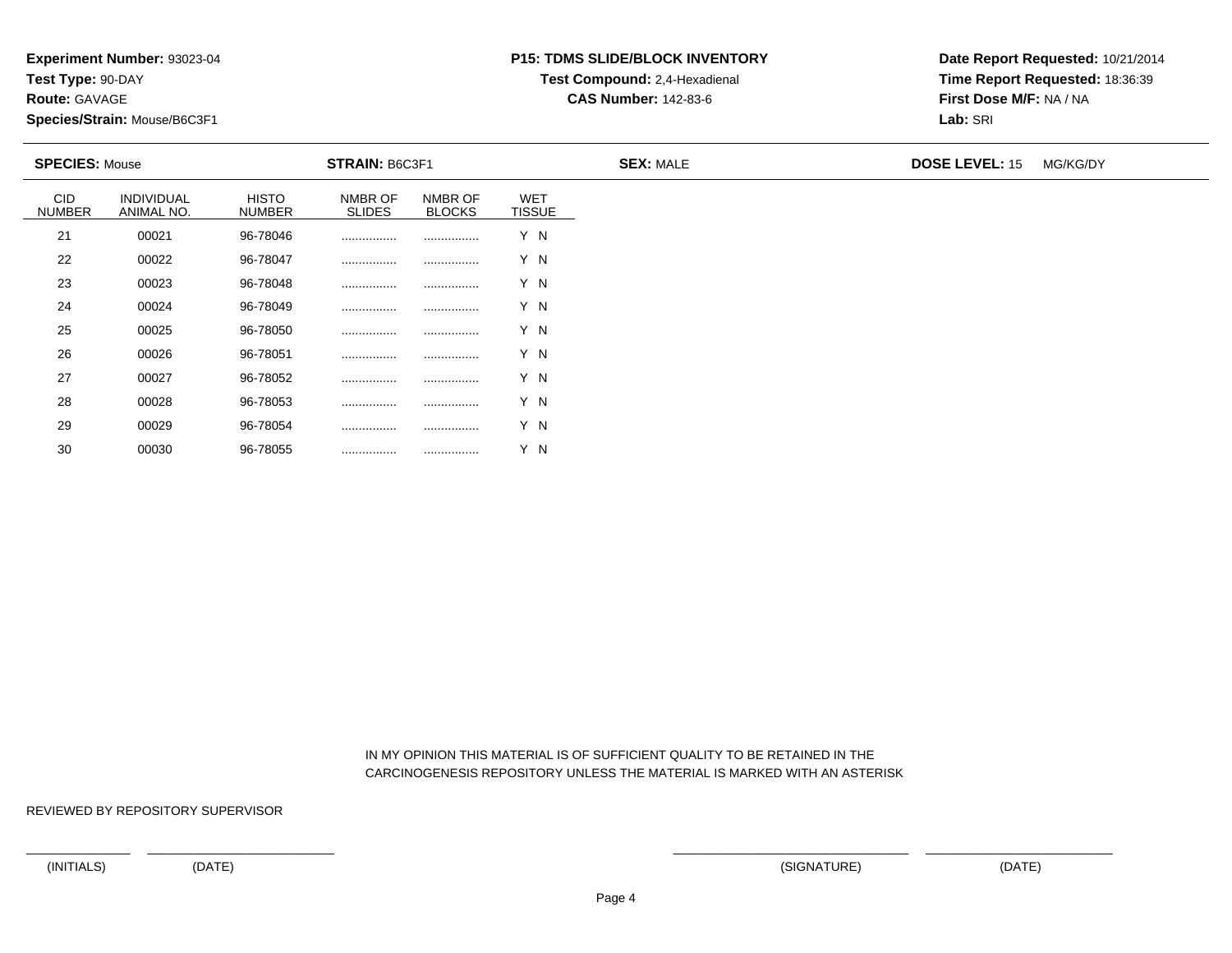**Route:** GAVAGE

30

**Species/Strain:** Mouse/B6C3F1

# **P15: TDMS SLIDE/BLOCK INVENTORYTest Compound:** 2,4-Hexadienal

**CAS Number:** 142-83-6

**Date Report Requested:** 10/21/2014**Time Report Requested:** 18:36:39**First Dose M/F:** NA / NA**Lab:** SRI

| <b>SPECIES: Mouse</b>       |                                 |                               | <b>STRAIN: B6C3F1</b>    |                          |                             | <b>SEX: MALE</b> | <b>DOSE LEVEL: 15</b> | MG/KG/DY |
|-----------------------------|---------------------------------|-------------------------------|--------------------------|--------------------------|-----------------------------|------------------|-----------------------|----------|
| <b>CID</b><br><b>NUMBER</b> | <b>INDIVIDUAL</b><br>ANIMAL NO. | <b>HISTO</b><br><b>NUMBER</b> | NMBR OF<br><b>SLIDES</b> | NMBR OF<br><b>BLOCKS</b> | <b>WET</b><br><b>TISSUE</b> |                  |                       |          |
| 21                          | 00021                           | 96-78046                      |                          | .                        | Y N                         |                  |                       |          |
| 22                          | 00022                           | 96-78047                      |                          |                          | Y N                         |                  |                       |          |
| 23                          | 00023                           | 96-78048                      |                          |                          | Y N                         |                  |                       |          |
| 24                          | 00024                           | 96-78049                      |                          |                          | Y N                         |                  |                       |          |
| 25                          | 00025                           | 96-78050                      |                          |                          | Y N                         |                  |                       |          |
| 26                          | 00026                           | 96-78051                      |                          |                          | Y N                         |                  |                       |          |
| 27                          | 00027                           | 96-78052                      |                          |                          | Y N                         |                  |                       |          |
| 28                          | 00028                           | 96-78053                      |                          | .                        | Y N                         |                  |                       |          |
| 29                          | 00029                           | 96-78054                      |                          |                          | Y N                         |                  |                       |          |

#### IN MY OPINION THIS MATERIAL IS OF SUFFICIENT QUALITY TO BE RETAINED IN THECARCINOGENESIS REPOSITORY UNLESS THE MATERIAL IS MARKED WITH AN ASTERISK

REVIEWED BY REPOSITORY SUPERVISOR

<sup>00030</sup> 96-78055 ................ ................ Y N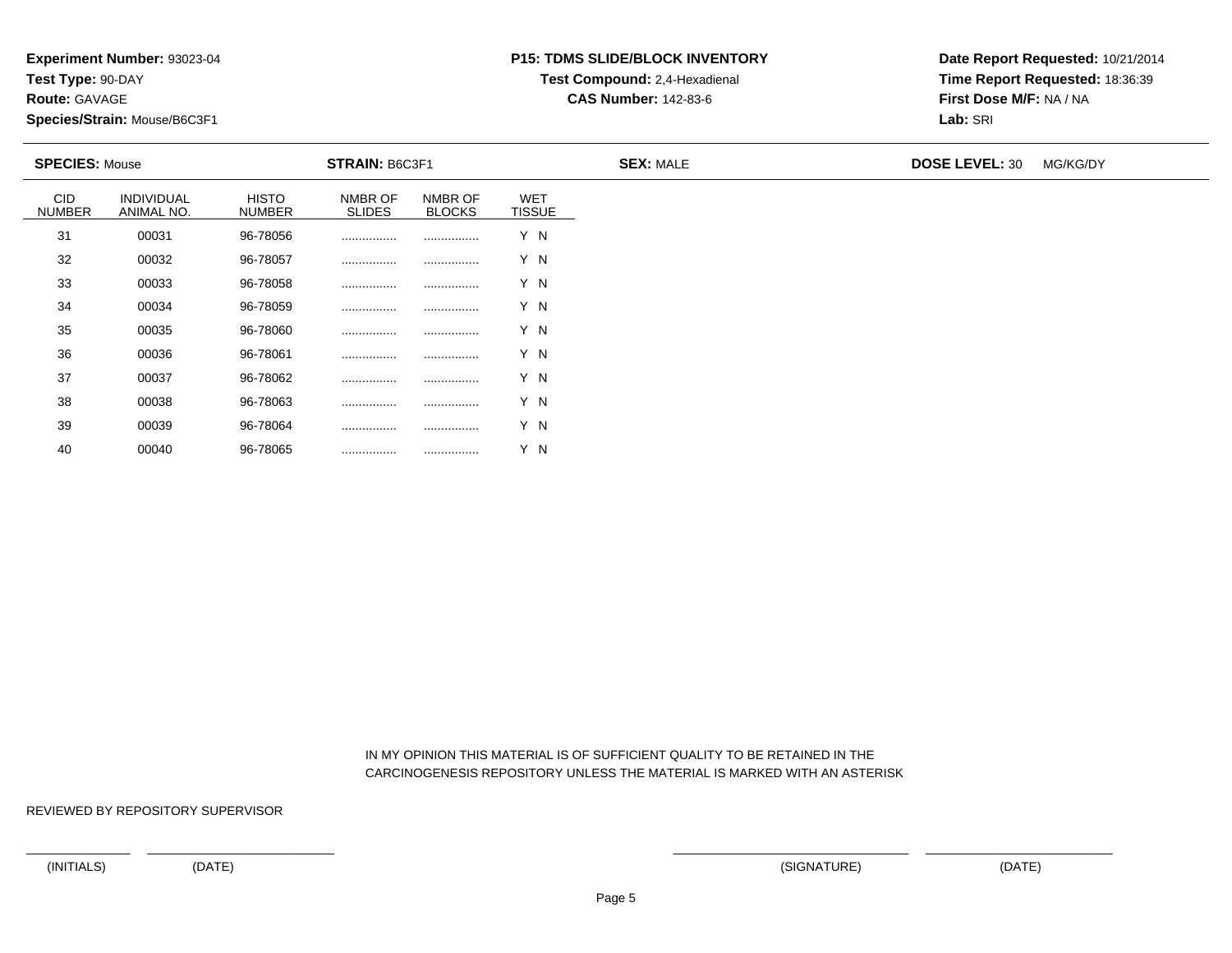**Route:** GAVAGE

40

**Species/Strain:** Mouse/B6C3F1

# **P15: TDMS SLIDE/BLOCK INVENTORYTest Compound:** 2,4-Hexadienal

**CAS Number:** 142-83-6

**Date Report Requested:** 10/21/2014**Time Report Requested:** 18:36:39**First Dose M/F:** NA / NA**Lab:** SRI

| <b>SPECIES: Mouse</b>       |                                 |                               | <b>STRAIN: B6C3F1</b>    |                          |                             | <b>SEX: MALE</b> | <b>DOSE LEVEL: 30</b> | MG/KG/DY |
|-----------------------------|---------------------------------|-------------------------------|--------------------------|--------------------------|-----------------------------|------------------|-----------------------|----------|
| <b>CID</b><br><b>NUMBER</b> | <b>INDIVIDUAL</b><br>ANIMAL NO. | <b>HISTO</b><br><b>NUMBER</b> | NMBR OF<br><b>SLIDES</b> | NMBR OF<br><b>BLOCKS</b> | <b>WET</b><br><b>TISSUE</b> |                  |                       |          |
| 31                          | 00031                           | 96-78056                      | .                        | .                        | Y N                         |                  |                       |          |
| 32                          | 00032                           | 96-78057                      |                          |                          | Y N                         |                  |                       |          |
| 33                          | 00033                           | 96-78058                      |                          |                          | Y N                         |                  |                       |          |
| 34                          | 00034                           | 96-78059                      |                          |                          | Y N                         |                  |                       |          |
| 35                          | 00035                           | 96-78060                      |                          |                          | Y N                         |                  |                       |          |
| 36                          | 00036                           | 96-78061                      |                          |                          | Y N                         |                  |                       |          |
| 37                          | 00037                           | 96-78062                      |                          |                          | Y N                         |                  |                       |          |
| 38                          | 00038                           | 96-78063                      |                          | .                        | Y N                         |                  |                       |          |
| 39                          | 00039                           | 96-78064                      |                          |                          | Y N                         |                  |                       |          |

 IN MY OPINION THIS MATERIAL IS OF SUFFICIENT QUALITY TO BE RETAINED IN THECARCINOGENESIS REPOSITORY UNLESS THE MATERIAL IS MARKED WITH AN ASTERISK

REVIEWED BY REPOSITORY SUPERVISOR

<sup>00040</sup> 96-78065 ................ ................ Y N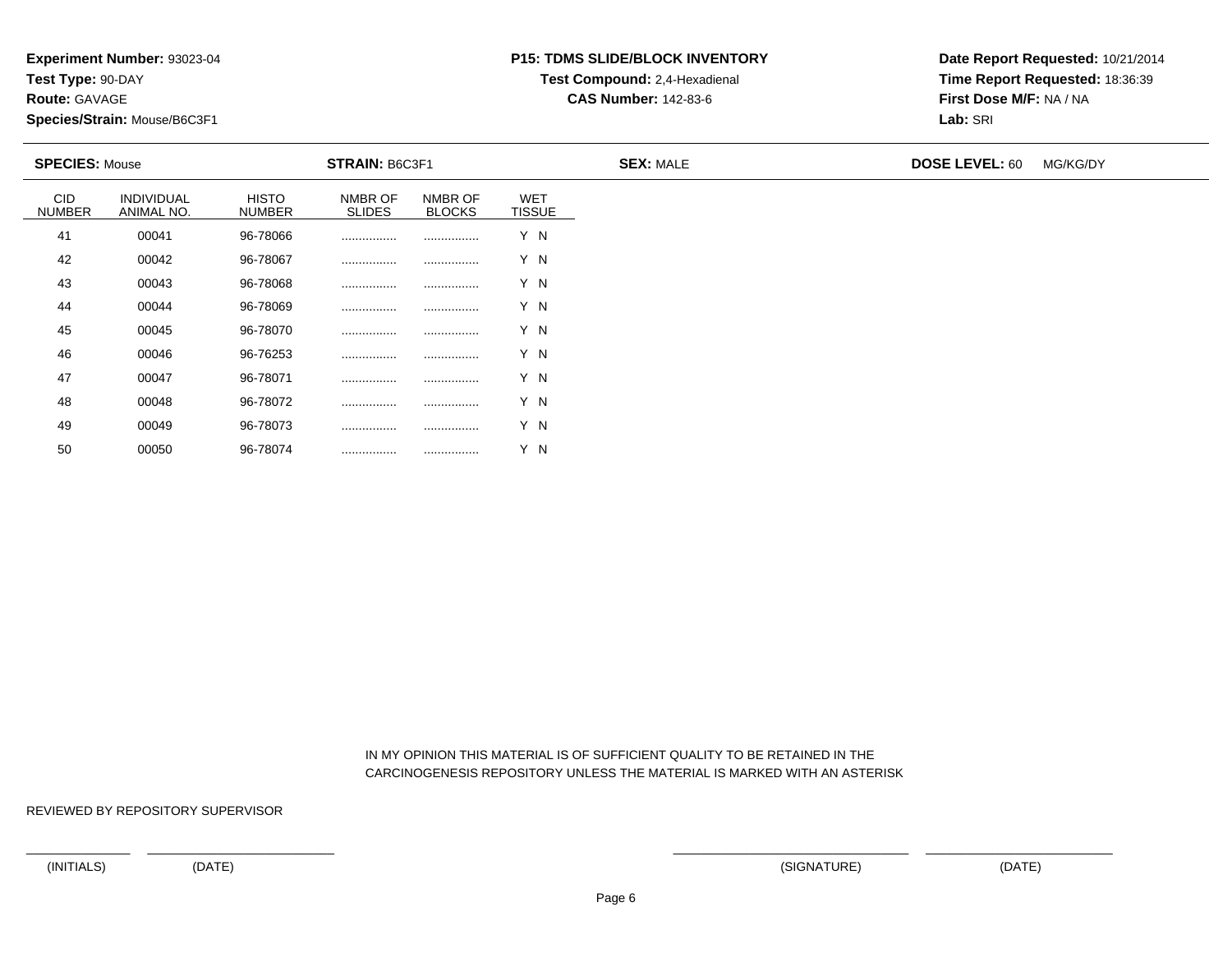**Route:** GAVAGE

50

**Species/Strain:** Mouse/B6C3F1

# **P15: TDMS SLIDE/BLOCK INVENTORYTest Compound:** 2,4-Hexadienal

**CAS Number:** 142-83-6

**Date Report Requested:** 10/21/2014**Time Report Requested:** 18:36:39**First Dose M/F:** NA / NA**Lab:** SRI

| <b>SPECIES: Mouse</b>       |                          |                               | <b>STRAIN: B6C3F1</b>    |                          |                             | <b>SEX: MALE</b> | <b>DOSE LEVEL: 60</b> | MG/KG/DY |
|-----------------------------|--------------------------|-------------------------------|--------------------------|--------------------------|-----------------------------|------------------|-----------------------|----------|
| <b>CID</b><br><b>NUMBER</b> | INDIVIDUAL<br>ANIMAL NO. | <b>HISTO</b><br><b>NUMBER</b> | NMBR OF<br><b>SLIDES</b> | NMBR OF<br><b>BLOCKS</b> | <b>WET</b><br><b>TISSUE</b> |                  |                       |          |
| 41                          | 00041                    | 96-78066                      | .                        | .                        | Y N                         |                  |                       |          |
| 42                          | 00042                    | 96-78067                      |                          |                          | Y N                         |                  |                       |          |
| 43                          | 00043                    | 96-78068                      |                          |                          | Y N                         |                  |                       |          |
| 44                          | 00044                    | 96-78069                      |                          |                          | Y N                         |                  |                       |          |
| 45                          | 00045                    | 96-78070                      |                          |                          | Y N                         |                  |                       |          |
| 46                          | 00046                    | 96-76253                      |                          |                          | Y N                         |                  |                       |          |
| 47                          | 00047                    | 96-78071                      |                          |                          | Y N                         |                  |                       |          |
| 48                          | 00048                    | 96-78072                      |                          | .                        | Y N                         |                  |                       |          |
| 49                          | 00049                    | 96-78073                      |                          |                          | Y N                         |                  |                       |          |

 IN MY OPINION THIS MATERIAL IS OF SUFFICIENT QUALITY TO BE RETAINED IN THECARCINOGENESIS REPOSITORY UNLESS THE MATERIAL IS MARKED WITH AN ASTERISK

REVIEWED BY REPOSITORY SUPERVISOR

<sup>00050</sup> 96-78074 ................ ................ Y N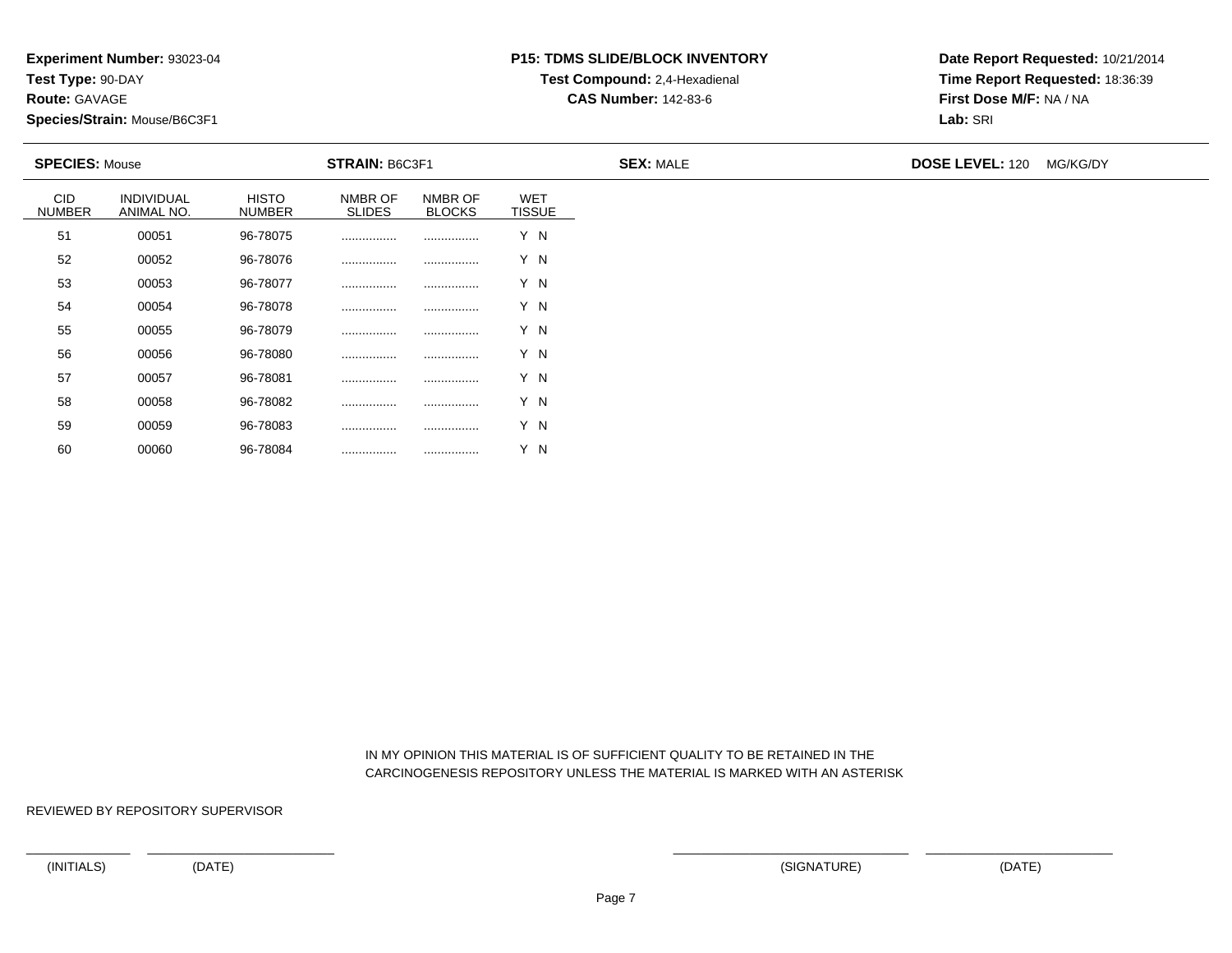**Route:** GAVAGE

60

**Species/Strain:** Mouse/B6C3F1

# **P15: TDMS SLIDE/BLOCK INVENTORYTest Compound:** 2,4-Hexadienal

**CAS Number:** 142-83-6

**Date Report Requested:** 10/21/2014**Time Report Requested:** 18:36:39**First Dose M/F:** NA / NA**Lab:** SRI

| <b>STRAIN: B6C3F1</b><br><b>SPECIES: Mouse</b> |                                 |                               |                          | <b>SEX: MALE</b>         | <b>DOSE LEVEL: 120 MG/KG/DY</b> |  |  |
|------------------------------------------------|---------------------------------|-------------------------------|--------------------------|--------------------------|---------------------------------|--|--|
| <b>CID</b><br><b>NUMBER</b>                    | <b>INDIVIDUAL</b><br>ANIMAL NO. | <b>HISTO</b><br><b>NUMBER</b> | NMBR OF<br><b>SLIDES</b> | NMBR OF<br><b>BLOCKS</b> | <b>WET</b><br><b>TISSUE</b>     |  |  |
| 51                                             | 00051                           | 96-78075                      |                          |                          | Y N                             |  |  |
| 52                                             | 00052                           | 96-78076                      |                          |                          | Y N                             |  |  |
| 53                                             | 00053                           | 96-78077                      |                          |                          | Y N                             |  |  |
| 54                                             | 00054                           | 96-78078                      |                          |                          | Y N                             |  |  |
| 55                                             | 00055                           | 96-78079                      |                          |                          | Y N                             |  |  |
| 56                                             | 00056                           | 96-78080                      |                          |                          | Y N                             |  |  |
| 57                                             | 00057                           | 96-78081                      |                          |                          | Y N                             |  |  |
| 58                                             | 00058                           | 96-78082                      |                          |                          | Y N                             |  |  |
| 59                                             | 00059                           | 96-78083                      |                          |                          | Y N                             |  |  |

 IN MY OPINION THIS MATERIAL IS OF SUFFICIENT QUALITY TO BE RETAINED IN THECARCINOGENESIS REPOSITORY UNLESS THE MATERIAL IS MARKED WITH AN ASTERISK

REVIEWED BY REPOSITORY SUPERVISOR

<sup>00060</sup> 96-78084 ................ ................ Y N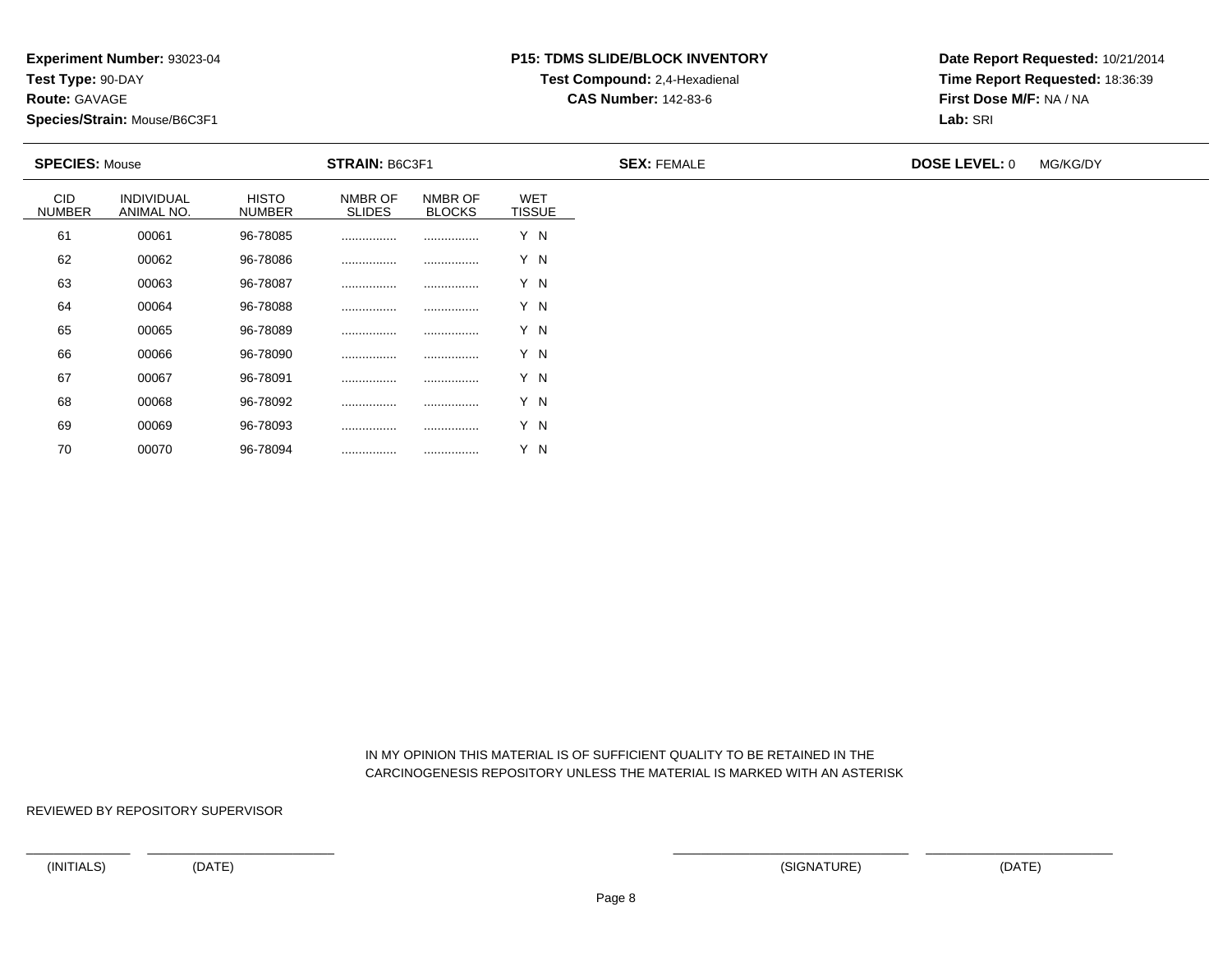**Experiment Number:** 93023-04

**Test Type:** 90-DAY

**Route:** GAVAGE

70

**Species/Strain:** Mouse/B6C3F1

# **P15: TDMS SLIDE/BLOCK INVENTORYTest Compound:** 2,4-Hexadienal

**CAS Number:** 142-83-6

**Date Report Requested:** 10/21/2014**Time Report Requested:** 18:36:39**First Dose M/F:** NA / NA**Lab:** SRI

| <b>SPECIES: Mouse</b>       |                          | STRAIN: B6C3F1                |                          |                          | <b>SEX: FEMALE</b>          | <b>DOSE LEVEL: 0</b> | MG/KG/DY |  |
|-----------------------------|--------------------------|-------------------------------|--------------------------|--------------------------|-----------------------------|----------------------|----------|--|
| <b>CID</b><br><b>NUMBER</b> | INDIVIDUAL<br>ANIMAL NO. | <b>HISTO</b><br><b>NUMBER</b> | NMBR OF<br><b>SLIDES</b> | NMBR OF<br><b>BLOCKS</b> | <b>WET</b><br><b>TISSUE</b> |                      |          |  |
| 61                          | 00061                    | 96-78085                      |                          |                          | Y N                         |                      |          |  |
| 62                          | 00062                    | 96-78086                      |                          |                          | Y N                         |                      |          |  |
| 63                          | 00063                    | 96-78087                      |                          |                          | Y N                         |                      |          |  |
| 64                          | 00064                    | 96-78088                      | .                        |                          | Y N                         |                      |          |  |
| 65                          | 00065                    | 96-78089                      |                          |                          | Y N                         |                      |          |  |
| 66                          | 00066                    | 96-78090                      |                          |                          | Y N                         |                      |          |  |
| 67                          | 00067                    | 96-78091                      |                          |                          | Y N                         |                      |          |  |
| 68                          | 00068                    | 96-78092                      |                          |                          | Y N                         |                      |          |  |
| 69                          | 00069                    | 96-78093                      |                          |                          | Y N                         |                      |          |  |

 IN MY OPINION THIS MATERIAL IS OF SUFFICIENT QUALITY TO BE RETAINED IN THECARCINOGENESIS REPOSITORY UNLESS THE MATERIAL IS MARKED WITH AN ASTERISK

REVIEWED BY REPOSITORY SUPERVISOR

<sup>00070</sup> 96-78094 ................ ................ Y N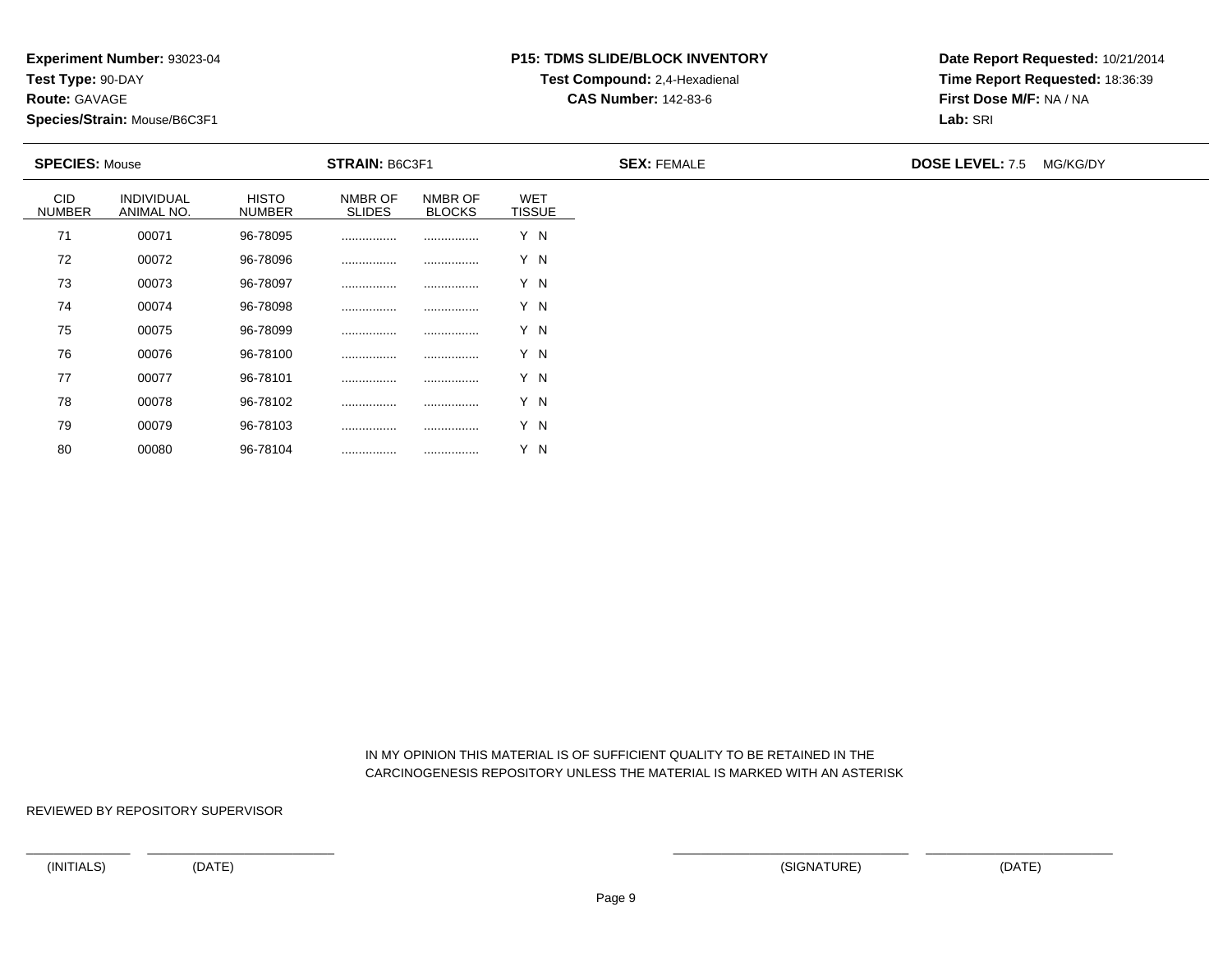**Route:** GAVAGE

80

**Species/Strain:** Mouse/B6C3F1

# **P15: TDMS SLIDE/BLOCK INVENTORYTest Compound:** 2,4-Hexadienal

**CAS Number:** 142-83-6

**Date Report Requested:** 10/21/2014**Time Report Requested:** 18:36:39**First Dose M/F:** NA / NA**Lab:** SRI

| <b>SPECIES: Mouse</b>       |                          |                               | STRAIN: B6C3F1           |                          |                             | <b>SEX: FEMALE</b> | <b>DOSE LEVEL: 7.5</b> | MG/KG/DY |
|-----------------------------|--------------------------|-------------------------------|--------------------------|--------------------------|-----------------------------|--------------------|------------------------|----------|
| <b>CID</b><br><b>NUMBER</b> | INDIVIDUAL<br>ANIMAL NO. | <b>HISTO</b><br><b>NUMBER</b> | NMBR OF<br><b>SLIDES</b> | NMBR OF<br><b>BLOCKS</b> | <b>WET</b><br><b>TISSUE</b> |                    |                        |          |
| 71                          | 00071                    | 96-78095                      |                          |                          | Y N                         |                    |                        |          |
| 72                          | 00072                    | 96-78096                      |                          |                          | Y N                         |                    |                        |          |
| 73                          | 00073                    | 96-78097                      |                          |                          | Y N                         |                    |                        |          |
| 74                          | 00074                    | 96-78098                      | .                        |                          | Y N                         |                    |                        |          |
| 75                          | 00075                    | 96-78099                      |                          |                          | Y N                         |                    |                        |          |
| 76                          | 00076                    | 96-78100                      |                          |                          | Y N                         |                    |                        |          |
| 77                          | 00077                    | 96-78101                      |                          |                          | Y N                         |                    |                        |          |
| 78                          | 00078                    | 96-78102                      |                          |                          | Y N                         |                    |                        |          |
| 79                          | 00079                    | 96-78103                      |                          |                          | Y N                         |                    |                        |          |

 IN MY OPINION THIS MATERIAL IS OF SUFFICIENT QUALITY TO BE RETAINED IN THECARCINOGENESIS REPOSITORY UNLESS THE MATERIAL IS MARKED WITH AN ASTERISK

REVIEWED BY REPOSITORY SUPERVISOR

<sup>00080</sup> 96-78104 ................ ................ Y N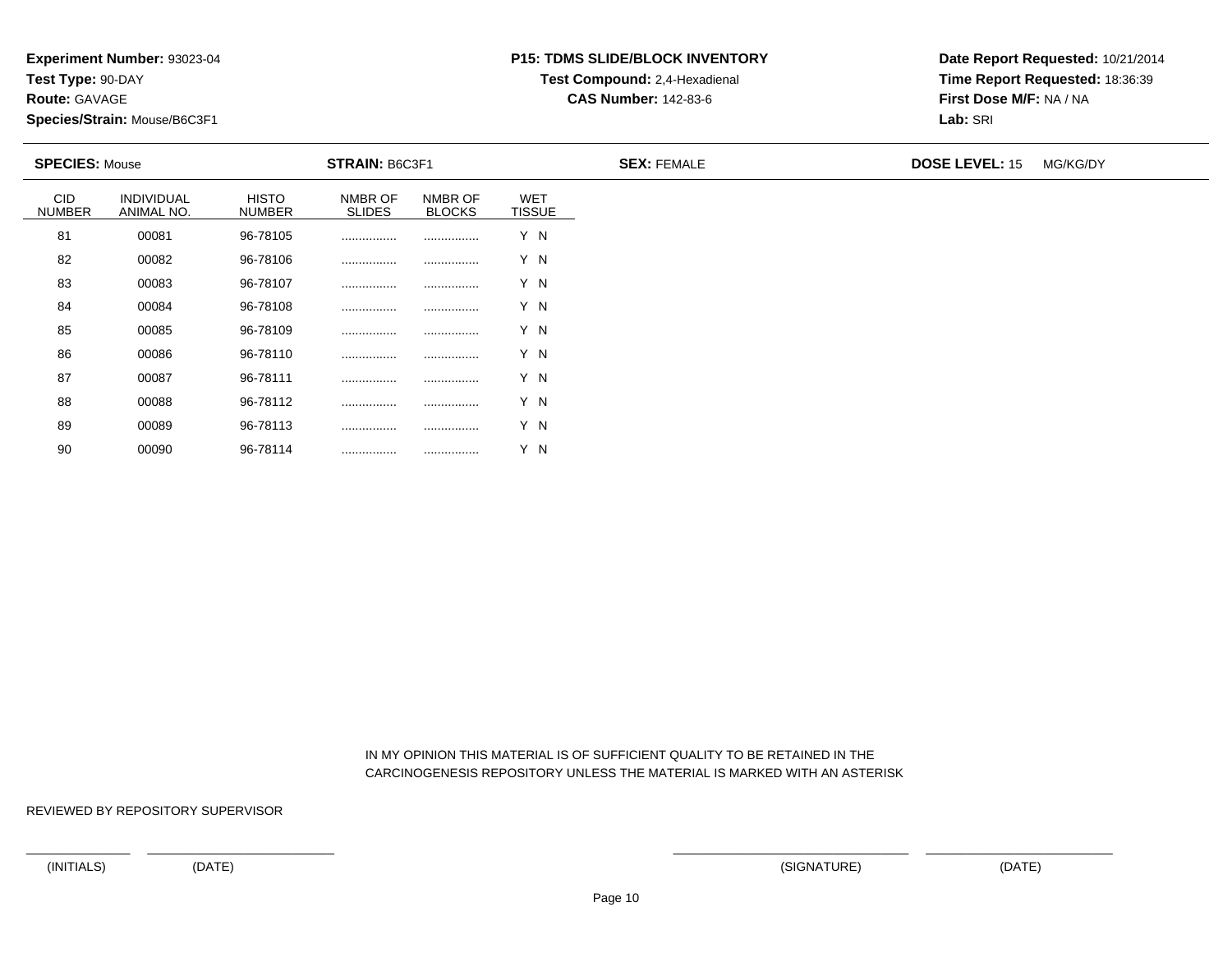**Route:** GAVAGE

90

**Species/Strain:** Mouse/B6C3F1

# **P15: TDMS SLIDE/BLOCK INVENTORYTest Compound:** 2,4-Hexadienal

**CAS Number:** 142-83-6

**Date Report Requested:** 10/21/2014**Time Report Requested:** 18:36:39**First Dose M/F:** NA / NA**Lab:** SRI

| <b>SPECIES: Mouse</b> |                          |                               | <b>STRAIN: B6C3F1</b>    |                          |                             | <b>SEX: FEMALE</b> | <b>DOSE LEVEL: 15</b> | MG/KG/DY |
|-----------------------|--------------------------|-------------------------------|--------------------------|--------------------------|-----------------------------|--------------------|-----------------------|----------|
| CID<br><b>NUMBER</b>  | INDIVIDUAL<br>ANIMAL NO. | <b>HISTO</b><br><b>NUMBER</b> | NMBR OF<br><b>SLIDES</b> | NMBR OF<br><b>BLOCKS</b> | <b>WET</b><br><b>TISSUE</b> |                    |                       |          |
| 81                    | 00081                    | 96-78105                      |                          |                          | Y N                         |                    |                       |          |
| 82                    | 00082                    | 96-78106                      |                          |                          | Y N                         |                    |                       |          |
| 83                    | 00083                    | 96-78107                      |                          |                          | Y N                         |                    |                       |          |
| 84                    | 00084                    | 96-78108                      |                          |                          | Y N                         |                    |                       |          |
| 85                    | 00085                    | 96-78109                      | .                        |                          | Y N                         |                    |                       |          |
| 86                    | 00086                    | 96-78110                      | .                        |                          | Y N                         |                    |                       |          |
| 87                    | 00087                    | 96-78111                      |                          |                          | Y N                         |                    |                       |          |
| 88                    | 00088                    | 96-78112                      |                          |                          | Y N                         |                    |                       |          |
| 89                    | 00089                    | 96-78113                      |                          |                          | Y N                         |                    |                       |          |

 IN MY OPINION THIS MATERIAL IS OF SUFFICIENT QUALITY TO BE RETAINED IN THECARCINOGENESIS REPOSITORY UNLESS THE MATERIAL IS MARKED WITH AN ASTERISK

REVIEWED BY REPOSITORY SUPERVISOR

<sup>00090</sup> 96-78114 ................ ................ Y N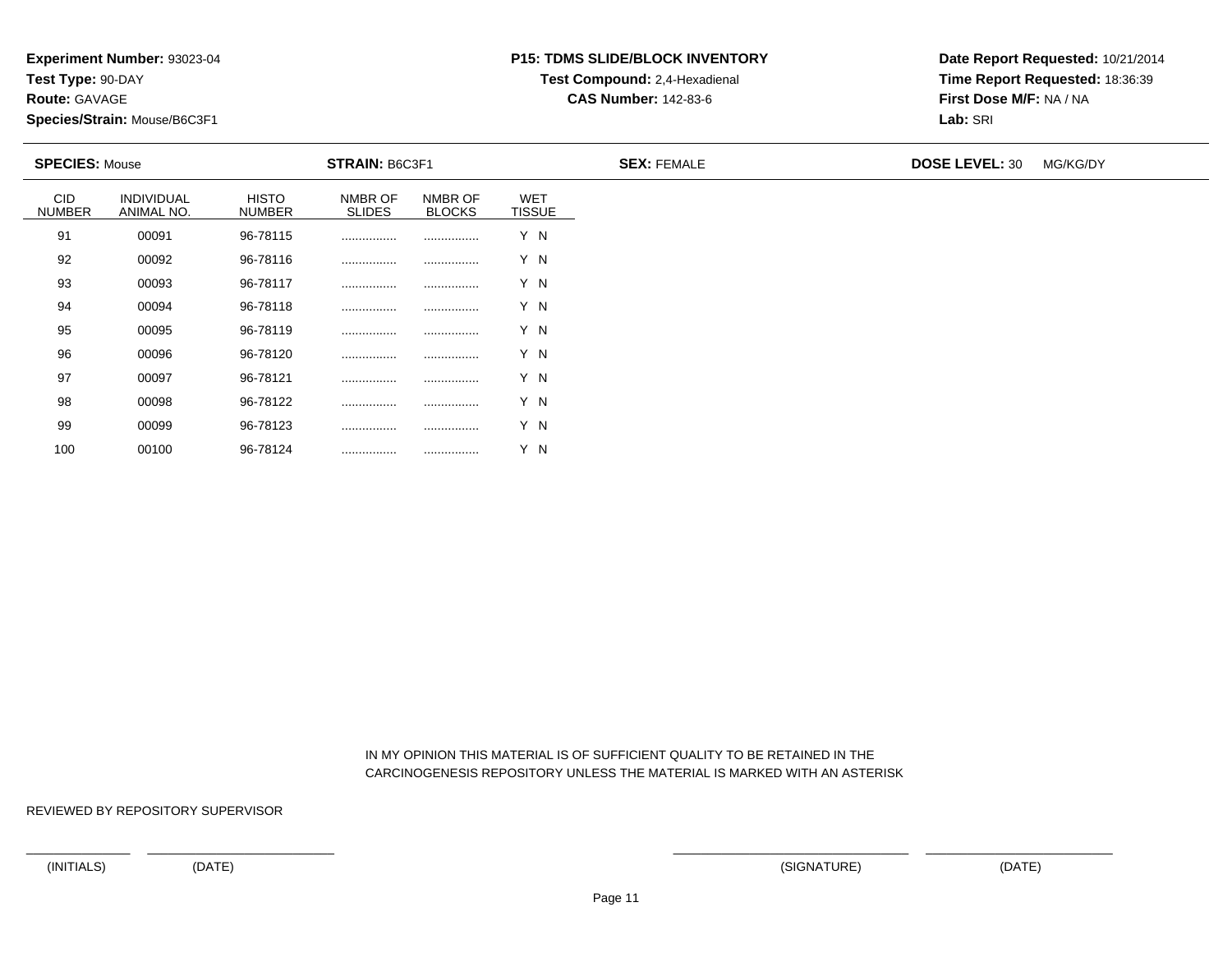**Route:** GAVAGE

100

**Species/Strain:** Mouse/B6C3F1

# **P15: TDMS SLIDE/BLOCK INVENTORYTest Compound:** 2,4-Hexadienal

**CAS Number:** 142-83-6

**Date Report Requested:** 10/21/2014**Time Report Requested:** 18:36:39**First Dose M/F:** NA / NA**Lab:** SRI

| <b>SPECIES: Mouse</b> |                          |                               | <b>STRAIN: B6C3F1</b>    |                          |                             | <b>SEX: FEMALE</b> | <b>DOSE LEVEL: 30</b> | MG/KG/DY |
|-----------------------|--------------------------|-------------------------------|--------------------------|--------------------------|-----------------------------|--------------------|-----------------------|----------|
| CID<br><b>NUMBER</b>  | INDIVIDUAL<br>ANIMAL NO. | <b>HISTO</b><br><b>NUMBER</b> | NMBR OF<br><b>SLIDES</b> | NMBR OF<br><b>BLOCKS</b> | <b>WET</b><br><b>TISSUE</b> |                    |                       |          |
| 91                    | 00091                    | 96-78115                      |                          |                          | Y N                         |                    |                       |          |
| 92                    | 00092                    | 96-78116                      | .                        |                          | Y N                         |                    |                       |          |
| 93                    | 00093                    | 96-78117                      |                          |                          | Y N                         |                    |                       |          |
| 94                    | 00094                    | 96-78118                      |                          |                          | Y N                         |                    |                       |          |
| 95                    | 00095                    | 96-78119                      | .                        |                          | Y N                         |                    |                       |          |
| 96                    | 00096                    | 96-78120                      | .                        |                          | Y N                         |                    |                       |          |
| 97                    | 00097                    | 96-78121                      |                          |                          | Y N                         |                    |                       |          |
| 98                    | 00098                    | 96-78122                      |                          |                          | Y N                         |                    |                       |          |
| 99                    | 00099                    | 96-78123                      |                          |                          | Y N                         |                    |                       |          |

 IN MY OPINION THIS MATERIAL IS OF SUFFICIENT QUALITY TO BE RETAINED IN THECARCINOGENESIS REPOSITORY UNLESS THE MATERIAL IS MARKED WITH AN ASTERISK

REVIEWED BY REPOSITORY SUPERVISOR

<sup>00100</sup> 96-78124 ................ ................ Y N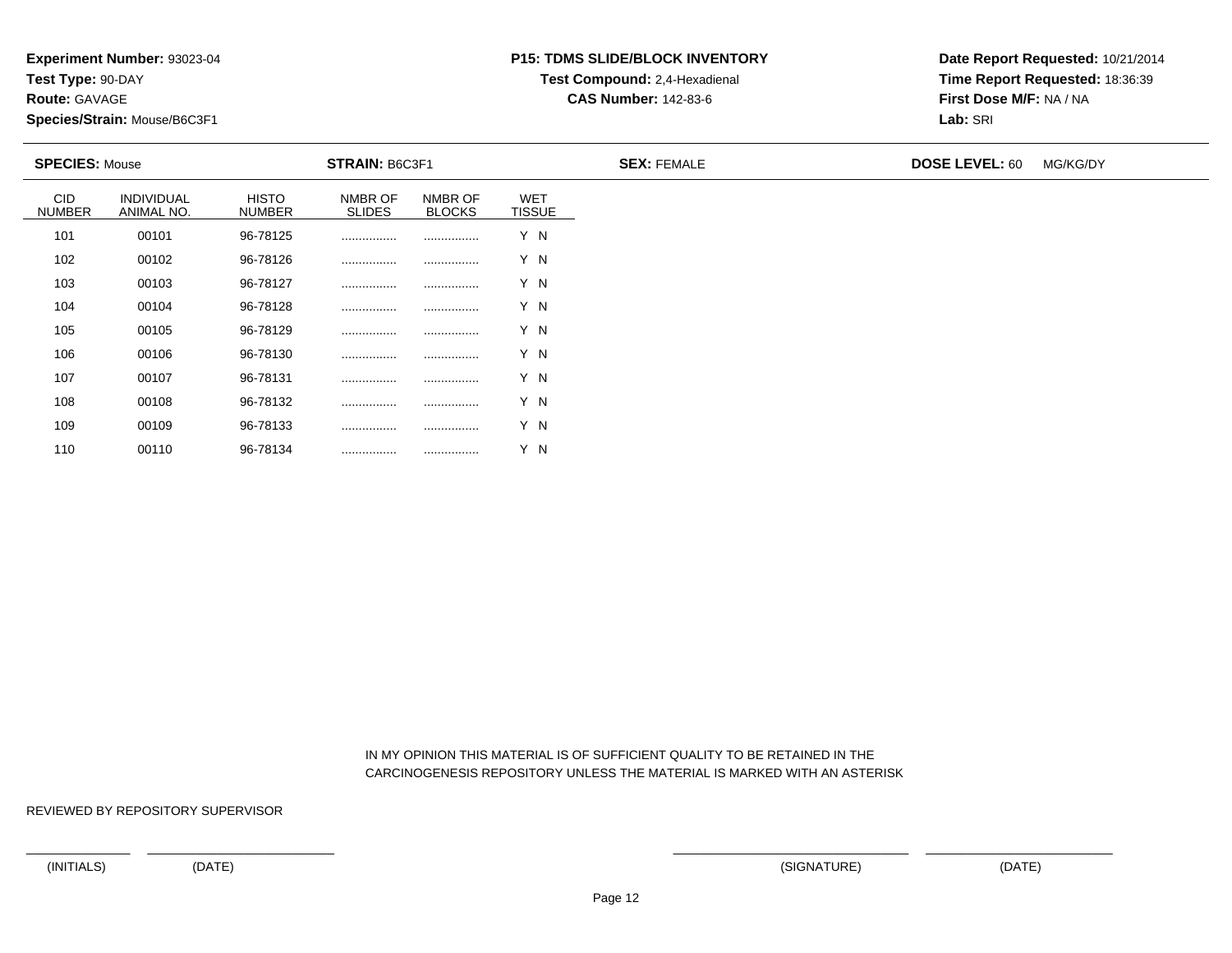**Experiment Number:** 93023-04

**Test Type:** 90-DAY

**Route:** GAVAGE

110

**Species/Strain:** Mouse/B6C3F1

# **P15: TDMS SLIDE/BLOCK INVENTORYTest Compound:** 2,4-Hexadienal

**CAS Number:** 142-83-6

**Date Report Requested:** 10/21/2014**Time Report Requested:** 18:36:39**First Dose M/F:** NA / NA**Lab:** SRI

| <b>SPECIES: Mouse</b>       |                          | STRAIN: B6C3F1                |                          |                          |                             | <b>SEX: FEMALE</b> | <b>DOSE LEVEL: 60</b> | MG/KG/DY |
|-----------------------------|--------------------------|-------------------------------|--------------------------|--------------------------|-----------------------------|--------------------|-----------------------|----------|
| <b>CID</b><br><b>NUMBER</b> | INDIVIDUAL<br>ANIMAL NO. | <b>HISTO</b><br><b>NUMBER</b> | NMBR OF<br><b>SLIDES</b> | NMBR OF<br><b>BLOCKS</b> | <b>WET</b><br><b>TISSUE</b> |                    |                       |          |
| 101                         | 00101                    | 96-78125                      |                          |                          | Y N                         |                    |                       |          |
| 102                         | 00102                    | 96-78126                      |                          |                          | Y N                         |                    |                       |          |
| 103                         | 00103                    | 96-78127                      |                          |                          | Y N                         |                    |                       |          |
| 104                         | 00104                    | 96-78128                      | .                        |                          | Y N                         |                    |                       |          |
| 105                         | 00105                    | 96-78129                      |                          |                          | Y N                         |                    |                       |          |
| 106                         | 00106                    | 96-78130                      |                          |                          | Y N                         |                    |                       |          |
| 107                         | 00107                    | 96-78131                      |                          |                          | Y N                         |                    |                       |          |
| 108                         | 00108                    | 96-78132                      |                          |                          | Y N                         |                    |                       |          |
| 109                         | 00109                    | 96-78133                      |                          |                          | Y N                         |                    |                       |          |

 IN MY OPINION THIS MATERIAL IS OF SUFFICIENT QUALITY TO BE RETAINED IN THECARCINOGENESIS REPOSITORY UNLESS THE MATERIAL IS MARKED WITH AN ASTERISK

REVIEWED BY REPOSITORY SUPERVISOR

<sup>00110</sup> 96-78134 ................ ................ Y N